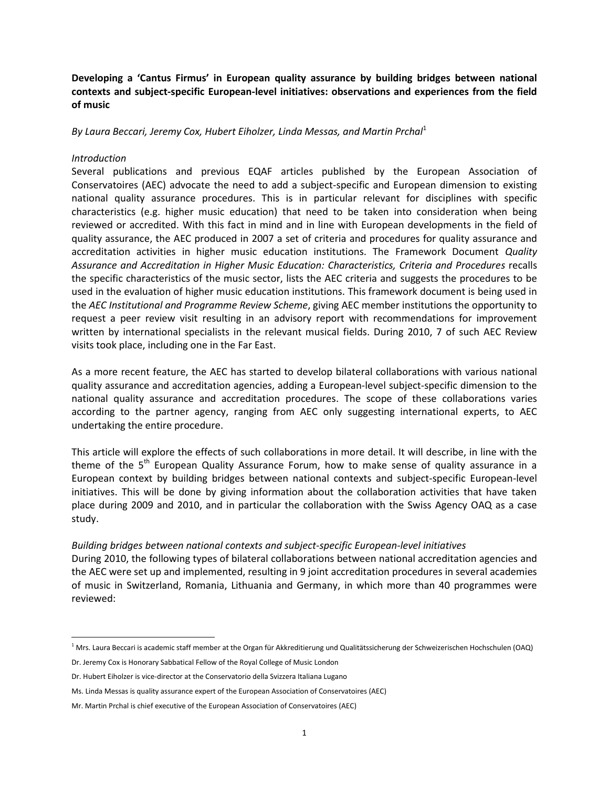**Developing a 'Cantus Firmus' in European quality assurance by building bridges between national contexts and subject-specific European-level initiatives: observations and experiences from the field of music**

*By Laura Beccari, Jeremy Cox, Hubert Eiholzer, Linda Messas, and Martin Prchal*<sup>1</sup>

#### *Introduction*

 $\overline{a}$ 

Several publications and previous EQAF articles published by the European Association of Conservatoires (AEC) advocate the need to add a subject-specific and European dimension to existing national quality assurance procedures. This is in particular relevant for disciplines with specific characteristics (e.g. higher music education) that need to be taken into consideration when being reviewed or accredited. With this fact in mind and in line with European developments in the field of quality assurance, the AEC produced in 2007 a set of criteria and procedures for quality assurance and accreditation activities in higher music education institutions. The Framework Document *Quality Assurance and Accreditation in Higher Music Education: Characteristics, Criteria and Procedures* recalls the specific characteristics of the music sector, lists the AEC criteria and suggests the procedures to be used in the evaluation of higher music education institutions. This framework document is being used in the *AEC Institutional and Programme Review Scheme*, giving AEC member institutions the opportunity to request a peer review visit resulting in an advisory report with recommendations for improvement written by international specialists in the relevant musical fields. During 2010, 7 of such AEC Review visits took place, including one in the Far East.

As a more recent feature, the AEC has started to develop bilateral collaborations with various national quality assurance and accreditation agencies, adding a European-level subject-specific dimension to the national quality assurance and accreditation procedures. The scope of these collaborations varies according to the partner agency, ranging from AEC only suggesting international experts, to AEC undertaking the entire procedure.

This article will explore the effects of such collaborations in more detail. It will describe, in line with the theme of the 5<sup>th</sup> European Quality Assurance Forum, how to make sense of quality assurance in a European context by building bridges between national contexts and subject-specific European-level initiatives. This will be done by giving information about the collaboration activities that have taken place during 2009 and 2010, and in particular the collaboration with the Swiss Agency OAQ as a case study.

## *Building bridges between national contexts and subject-specific European-level initiatives*

During 2010, the following types of bilateral collaborations between national accreditation agencies and the AEC were set up and implemented, resulting in 9 joint accreditation procedures in several academies of music in Switzerland, Romania, Lithuania and Germany, in which more than 40 programmes were reviewed:

<sup>&</sup>lt;sup>1</sup> Mrs. Laura Beccari is academic staff member at the Organ für Akkreditierung und Qualitätssicherung der Schweizerischen Hochschulen (OAQ) Dr. Jeremy Cox is Honorary Sabbatical Fellow of the Royal College of Music London

Dr. Hubert Eiholzer is vice-director at the Conservatorio della Svizzera Italiana Lugano

Ms. Linda Messas is quality assurance expert of the European Association of Conservatoires (AEC)

Mr. Martin Prchal is chief executive of the European Association of Conservatoires (AEC)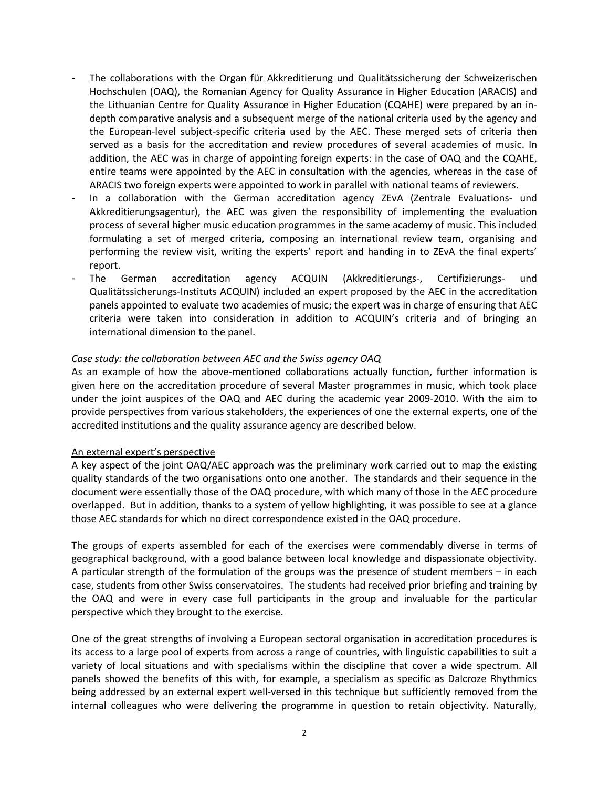- The collaborations with the Organ für Akkreditierung und Qualitätssicherung der Schweizerischen Hochschulen (OAQ), the Romanian Agency for Quality Assurance in Higher Education (ARACIS) and the Lithuanian Centre for Quality Assurance in Higher Education (CQAHE) were prepared by an indepth comparative analysis and a subsequent merge of the national criteria used by the agency and the European-level subject-specific criteria used by the AEC. These merged sets of criteria then served as a basis for the accreditation and review procedures of several academies of music. In addition, the AEC was in charge of appointing foreign experts: in the case of OAQ and the CQAHE, entire teams were appointed by the AEC in consultation with the agencies, whereas in the case of ARACIS two foreign experts were appointed to work in parallel with national teams of reviewers.
- In a collaboration with the German accreditation agency ZEvA (Zentrale Evaluations- und Akkreditierungsagentur), the AEC was given the responsibility of implementing the evaluation process of several higher music education programmes in the same academy of music. This included formulating a set of merged criteria, composing an international review team, organising and performing the review visit, writing the experts' report and handing in to ZEvA the final experts' report.
- The German accreditation agency ACQUIN (Akkreditierungs-, Certifizierungs- und Qualitätssicherungs-Instituts ACQUIN) included an expert proposed by the AEC in the accreditation panels appointed to evaluate two academies of music; the expert was in charge of ensuring that AEC criteria were taken into consideration in addition to ACQUIN's criteria and of bringing an international dimension to the panel.

# *Case study: the collaboration between AEC and the Swiss agency OAQ*

As an example of how the above-mentioned collaborations actually function, further information is given here on the accreditation procedure of several Master programmes in music, which took place under the joint auspices of the OAQ and AEC during the academic year 2009-2010. With the aim to provide perspectives from various stakeholders, the experiences of one the external experts, one of the accredited institutions and the quality assurance agency are described below.

#### An external expert's perspective

A key aspect of the joint OAQ/AEC approach was the preliminary work carried out to map the existing quality standards of the two organisations onto one another. The standards and their sequence in the document were essentially those of the OAQ procedure, with which many of those in the AEC procedure overlapped. But in addition, thanks to a system of yellow highlighting, it was possible to see at a glance those AEC standards for which no direct correspondence existed in the OAQ procedure.

The groups of experts assembled for each of the exercises were commendably diverse in terms of geographical background, with a good balance between local knowledge and dispassionate objectivity. A particular strength of the formulation of the groups was the presence of student members – in each case, students from other Swiss conservatoires. The students had received prior briefing and training by the OAQ and were in every case full participants in the group and invaluable for the particular perspective which they brought to the exercise.

One of the great strengths of involving a European sectoral organisation in accreditation procedures is its access to a large pool of experts from across a range of countries, with linguistic capabilities to suit a variety of local situations and with specialisms within the discipline that cover a wide spectrum. All panels showed the benefits of this with, for example, a specialism as specific as Dalcroze Rhythmics being addressed by an external expert well-versed in this technique but sufficiently removed from the internal colleagues who were delivering the programme in question to retain objectivity. Naturally,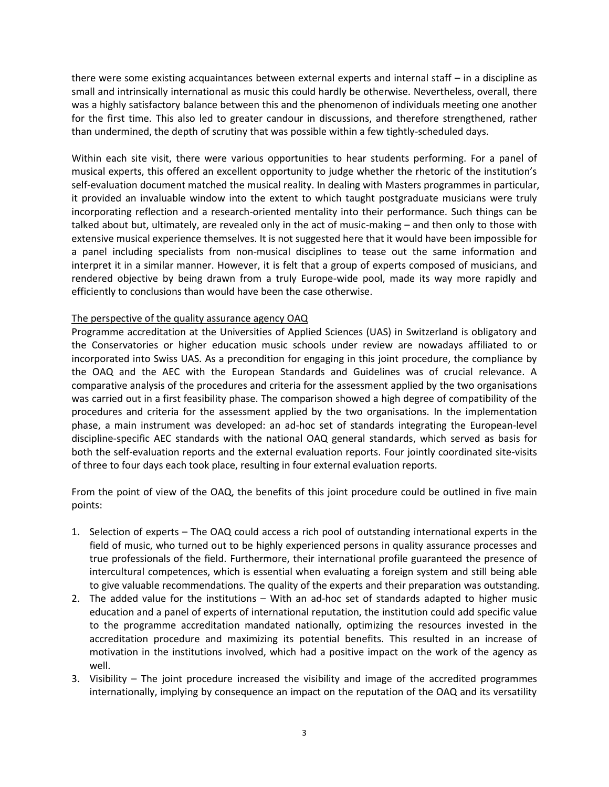there were some existing acquaintances between external experts and internal staff – in a discipline as small and intrinsically international as music this could hardly be otherwise. Nevertheless, overall, there was a highly satisfactory balance between this and the phenomenon of individuals meeting one another for the first time. This also led to greater candour in discussions, and therefore strengthened, rather than undermined, the depth of scrutiny that was possible within a few tightly-scheduled days.

Within each site visit, there were various opportunities to hear students performing. For a panel of musical experts, this offered an excellent opportunity to judge whether the rhetoric of the institution's self-evaluation document matched the musical reality. In dealing with Masters programmes in particular, it provided an invaluable window into the extent to which taught postgraduate musicians were truly incorporating reflection and a research-oriented mentality into their performance. Such things can be talked about but, ultimately, are revealed only in the act of music-making – and then only to those with extensive musical experience themselves. It is not suggested here that it would have been impossible for a panel including specialists from non-musical disciplines to tease out the same information and interpret it in a similar manner. However, it is felt that a group of experts composed of musicians, and rendered objective by being drawn from a truly Europe-wide pool, made its way more rapidly and efficiently to conclusions than would have been the case otherwise.

## The perspective of the quality assurance agency OAQ

Programme accreditation at the Universities of Applied Sciences (UAS) in Switzerland is obligatory and the Conservatories or higher education music schools under review are nowadays affiliated to or incorporated into Swiss UAS. As a precondition for engaging in this joint procedure, the compliance by the OAQ and the AEC with the European Standards and Guidelines was of crucial relevance. A comparative analysis of the procedures and criteria for the assessment applied by the two organisations was carried out in a first feasibility phase. The comparison showed a high degree of compatibility of the procedures and criteria for the assessment applied by the two organisations. In the implementation phase, a main instrument was developed: an ad-hoc set of standards integrating the European-level discipline-specific AEC standards with the national OAQ general standards, which served as basis for both the self-evaluation reports and the external evaluation reports. Four jointly coordinated site-visits of three to four days each took place, resulting in four external evaluation reports.

From the point of view of the OAQ, the benefits of this joint procedure could be outlined in five main points:

- 1. Selection of experts The OAQ could access a rich pool of outstanding international experts in the field of music, who turned out to be highly experienced persons in quality assurance processes and true professionals of the field. Furthermore, their international profile guaranteed the presence of intercultural competences, which is essential when evaluating a foreign system and still being able to give valuable recommendations. The quality of the experts and their preparation was outstanding.
- 2. The added value for the institutions With an ad-hoc set of standards adapted to higher music education and a panel of experts of international reputation, the institution could add specific value to the programme accreditation mandated nationally, optimizing the resources invested in the accreditation procedure and maximizing its potential benefits. This resulted in an increase of motivation in the institutions involved, which had a positive impact on the work of the agency as well.
- 3. Visibility The joint procedure increased the visibility and image of the accredited programmes internationally, implying by consequence an impact on the reputation of the OAQ and its versatility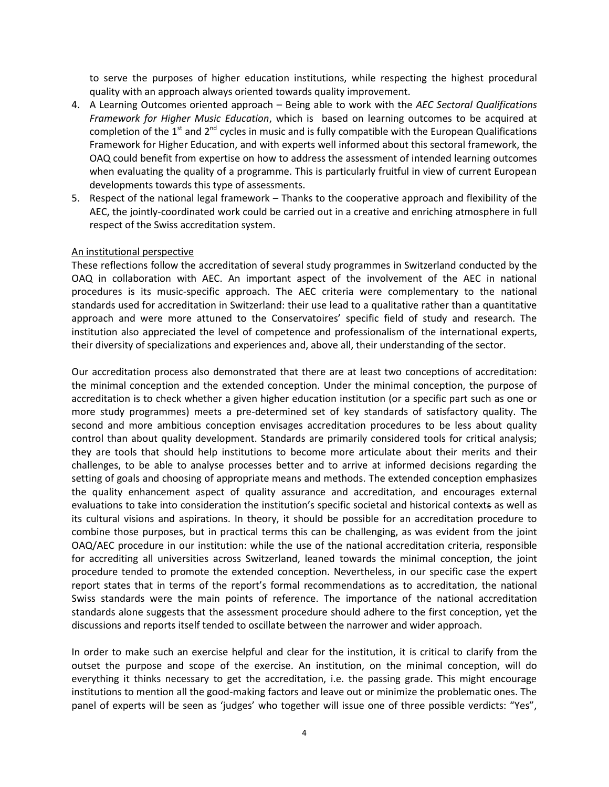to serve the purposes of higher education institutions, while respecting the highest procedural quality with an approach always oriented towards quality improvement.

- 4. A Learning Outcomes oriented approach Being able to work with the *AEC Sectoral Qualifications Framework for Higher Music Education*, which is based on learning outcomes to be acquired at completion of the  $1<sup>st</sup>$  and  $2<sup>nd</sup>$  cycles in music and is fully compatible with the European Qualifications Framework for Higher Education, and with experts well informed about this sectoral framework, the OAQ could benefit from expertise on how to address the assessment of intended learning outcomes when evaluating the quality of a programme. This is particularly fruitful in view of current European developments towards this type of assessments.
- 5. Respect of the national legal framework Thanks to the cooperative approach and flexibility of the AEC, the jointly-coordinated work could be carried out in a creative and enriching atmosphere in full respect of the Swiss accreditation system.

## An institutional perspective

These reflections follow the accreditation of several study programmes in Switzerland conducted by the OAQ in collaboration with AEC. An important aspect of the involvement of the AEC in national procedures is its music-specific approach. The AEC criteria were complementary to the national standards used for accreditation in Switzerland: their use lead to a qualitative rather than a quantitative approach and were more attuned to the Conservatoires' specific field of study and research. The institution also appreciated the level of competence and professionalism of the international experts, their diversity of specializations and experiences and, above all, their understanding of the sector.

Our accreditation process also demonstrated that there are at least two conceptions of accreditation: the minimal conception and the extended conception. Under the minimal conception, the purpose of accreditation is to check whether a given higher education institution (or a specific part such as one or more study programmes) meets a pre-determined set of key standards of satisfactory quality. The second and more ambitious conception envisages accreditation procedures to be less about quality control than about quality development. Standards are primarily considered tools for critical analysis; they are tools that should help institutions to become more articulate about their merits and their challenges, to be able to analyse processes better and to arrive at informed decisions regarding the setting of goals and choosing of appropriate means and methods. The extended conception emphasizes the quality enhancement aspect of quality assurance and accreditation, and encourages external evaluations to take into consideration the institution's specific societal and historical contexts as well as its cultural visions and aspirations. In theory, it should be possible for an accreditation procedure to combine those purposes, but in practical terms this can be challenging, as was evident from the joint OAQ/AEC procedure in our institution: while the use of the national accreditation criteria, responsible for accrediting all universities across Switzerland, leaned towards the minimal conception, the joint procedure tended to promote the extended conception. Nevertheless, in our specific case the expert report states that in terms of the report's formal recommendations as to accreditation, the national Swiss standards were the main points of reference. The importance of the national accreditation standards alone suggests that the assessment procedure should adhere to the first conception, yet the discussions and reports itself tended to oscillate between the narrower and wider approach.

In order to make such an exercise helpful and clear for the institution, it is critical to clarify from the outset the purpose and scope of the exercise. An institution, on the minimal conception, will do everything it thinks necessary to get the accreditation, i.e. the passing grade. This might encourage institutions to mention all the good-making factors and leave out or minimize the problematic ones. The panel of experts will be seen as 'judges' who together will issue one of three possible verdicts: "Yes",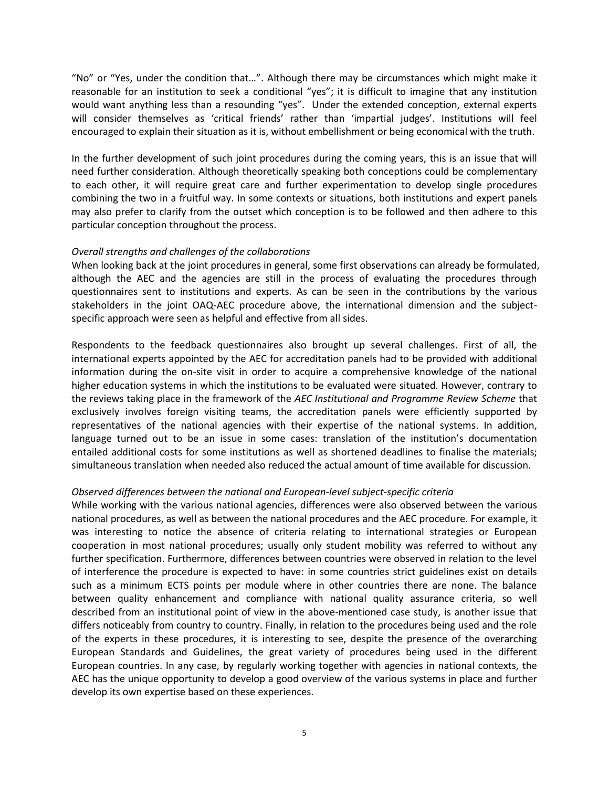"No" or "Yes, under the condition that…". Although there may be circumstances which might make it reasonable for an institution to seek a conditional "yes"; it is difficult to imagine that any institution would want anything less than a resounding "yes". Under the extended conception, external experts will consider themselves as 'critical friends' rather than 'impartial judges'. Institutions will feel encouraged to explain their situation as it is, without embellishment or being economical with the truth.

In the further development of such joint procedures during the coming years, this is an issue that will need further consideration. Although theoretically speaking both conceptions could be complementary to each other, it will require great care and further experimentation to develop single procedures combining the two in a fruitful way. In some contexts or situations, both institutions and expert panels may also prefer to clarify from the outset which conception is to be followed and then adhere to this particular conception throughout the process.

## *Overall strengths and challenges of the collaborations*

When looking back at the joint procedures in general, some first observations can already be formulated, although the AEC and the agencies are still in the process of evaluating the procedures through questionnaires sent to institutions and experts. As can be seen in the contributions by the various stakeholders in the joint OAQ-AEC procedure above, the international dimension and the subjectspecific approach were seen as helpful and effective from all sides.

Respondents to the feedback questionnaires also brought up several challenges. First of all, the international experts appointed by the AEC for accreditation panels had to be provided with additional information during the on-site visit in order to acquire a comprehensive knowledge of the national higher education systems in which the institutions to be evaluated were situated. However, contrary to the reviews taking place in the framework of the *AEC Institutional and Programme Review Scheme* that exclusively involves foreign visiting teams, the accreditation panels were efficiently supported by representatives of the national agencies with their expertise of the national systems. In addition, language turned out to be an issue in some cases: translation of the institution's documentation entailed additional costs for some institutions as well as shortened deadlines to finalise the materials; simultaneous translation when needed also reduced the actual amount of time available for discussion.

#### *Observed differences between the national and European-level subject-specific criteria*

While working with the various national agencies, differences were also observed between the various national procedures, as well as between the national procedures and the AEC procedure. For example, it was interesting to notice the absence of criteria relating to international strategies or European cooperation in most national procedures; usually only student mobility was referred to without any further specification. Furthermore, differences between countries were observed in relation to the level of interference the procedure is expected to have: in some countries strict guidelines exist on details such as a minimum ECTS points per module where in other countries there are none. The balance between quality enhancement and compliance with national quality assurance criteria, so well described from an institutional point of view in the above-mentioned case study, is another issue that differs noticeably from country to country. Finally, in relation to the procedures being used and the role of the experts in these procedures, it is interesting to see, despite the presence of the overarching European Standards and Guidelines, the great variety of procedures being used in the different European countries. In any case, by regularly working together with agencies in national contexts, the AEC has the unique opportunity to develop a good overview of the various systems in place and further develop its own expertise based on these experiences.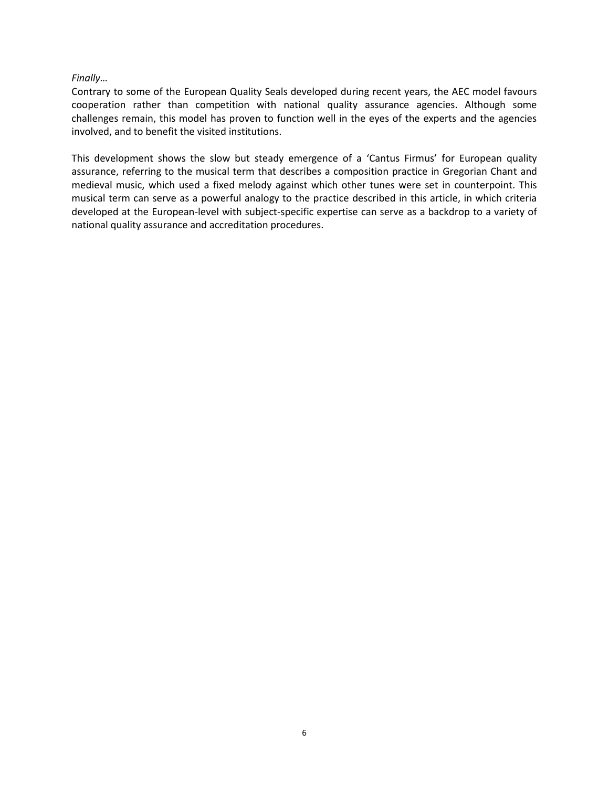## *Finally…*

Contrary to some of the European Quality Seals developed during recent years, the AEC model favours cooperation rather than competition with national quality assurance agencies. Although some challenges remain, this model has proven to function well in the eyes of the experts and the agencies involved, and to benefit the visited institutions.

This development shows the slow but steady emergence of a 'Cantus Firmus' for European quality assurance, referring to the musical term that describes a composition practice in Gregorian Chant and medieval music, which used a fixed melody against which other tunes were set in counterpoint. This musical term can serve as a powerful analogy to the practice described in this article, in which criteria developed at the European-level with subject-specific expertise can serve as a backdrop to a variety of national quality assurance and accreditation procedures.